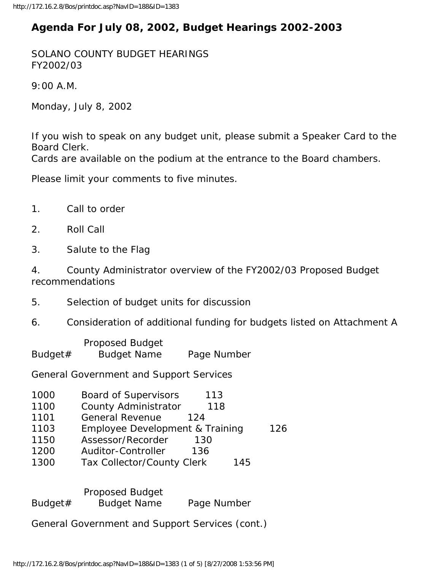## **Agenda For July 08, 2002, Budget Hearings 2002-2003**

SOLANO COUNTY BUDGET HEARINGS FY2002/03

9:00 A.M.

Monday, July 8, 2002

If you wish to speak on any budget unit, please submit a Speaker Card to the Board Clerk.

Cards are available on the podium at the entrance to the Board chambers.

Please limit your comments to five minutes.

- 1. Call to order
- 2. Roll Call
- 3. Salute to the Flag

4. County Administrator overview of the FY2002/03 Proposed Budget recommendations

- 5. Selection of budget units for discussion
- 6. Consideration of additional funding for budgets listed on Attachment A

 Proposed Budget Budget# Budget Name Page Number

General Government and Support Services

- 1000 Board of Supervisors 113 1100 County Administrator 118
- 1101 General Revenue 124
- 1103 Employee Development & Training 126
- 1150 Assessor/Recorder 130
- 1200 Auditor-Controller 136
- 1300 Tax Collector/County Clerk 145

 Proposed Budget Budget# Budget Name Page Number

General Government and Support Services (cont.)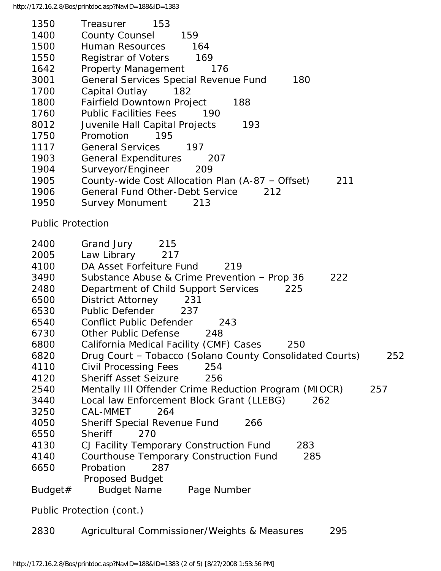| 1350                     | Treasurer<br>153                                                |
|--------------------------|-----------------------------------------------------------------|
| 1400                     | <b>County Counsel</b><br>159                                    |
| 1500                     | Human Resources<br>164                                          |
| 1550                     | Registrar of Voters<br>169                                      |
| 1642                     | <b>Property Management</b><br>176                               |
| 3001                     | General Services Special Revenue Fund<br>180                    |
| 1700                     | Capital Outlay<br>-- 182                                        |
| 1800                     | Fairfield Downtown Project<br>188                               |
| 1760                     | <b>Public Facilities Fees</b><br>190                            |
| 8012                     | Juvenile Hall Capital Projects<br>193                           |
| 1750                     | Promotion<br>195                                                |
| 1117                     | <b>General Services</b><br>197                                  |
|                          |                                                                 |
| 1903                     | <b>General Expenditures</b><br>207                              |
| 1904                     | Surveyor/Engineer<br>209                                        |
| 1905                     | County-wide Cost Allocation Plan (A-87 - Offset)<br>211         |
| 1906                     | <b>General Fund Other-Debt Service</b><br>212                   |
| 1950                     | Survey Monument<br>213                                          |
| <b>Public Protection</b> |                                                                 |
| 2400                     | Grand Jury<br>215                                               |
| 2005                     | Law Library 217                                                 |
| 4100                     | DA Asset Forfeiture Fund<br>219                                 |
| 3490                     | Substance Abuse & Crime Prevention - Prop 36<br>222             |
| 2480                     | 225                                                             |
|                          | Department of Child Support Services                            |
| 6500                     | <b>District Attorney</b><br>231                                 |
| 6530                     | <b>Public Defender</b><br>237                                   |
| 6540                     | <b>Conflict Public Defender</b><br>243                          |
| 6730                     | Other Public Defense<br>248                                     |
| 6800                     | California Medical Facility (CMF) Cases<br>250                  |
| 6820                     | Drug Court - Tobacco (Solano County Consolidated Courts)<br>252 |
| 4110                     | <b>Civil Processing Fees</b><br>254                             |
| 4120                     | <b>Sheriff Asset Seizure</b><br>256                             |
| 2540                     | Mentally III Offender Crime Reduction Program (MIOCR)<br>257    |
| 3440                     | Local law Enforcement Block Grant (LLEBG)<br>262                |
| 3250                     | CAL-MMET<br>264                                                 |
| 4050                     | <b>Sheriff Special Revenue Fund</b><br>266                      |
| 6550                     | <b>Sheriff</b><br>270                                           |
| 4130                     | CJ Facility Temporary Construction Fund<br>283                  |
| 4140                     | <b>Courthouse Temporary Construction Fund</b><br>285            |
| 6650                     | Probation<br>287                                                |
|                          | <b>Proposed Budget</b>                                          |
| Budget#                  | <b>Budget Name</b><br>Page Number                               |
|                          | Public Protection (cont.)                                       |
| 2830                     | Agricultural Commissioner/Weights & Measures<br>295             |
|                          |                                                                 |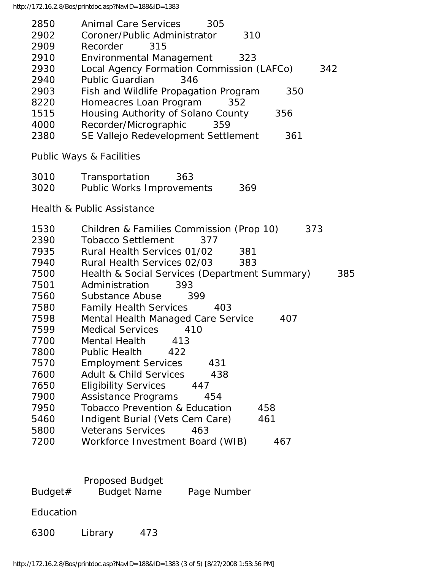| 2850<br>2902 | Animal Care Services<br>305<br>Coroner/Public Administrator<br>310 |
|--------------|--------------------------------------------------------------------|
| 2909         | Recorder<br>315                                                    |
| 2910         | <b>Environmental Management</b><br>323                             |
| 2930         | Local Agency Formation Commission (LAFCo)<br>342                   |
| 2940         | <b>Public Guardian</b><br>346                                      |
| 2903         | Fish and Wildlife Propagation Program<br>350                       |
| 8220         | Homeacres Loan Program<br>352                                      |
| 1515         | Housing Authority of Solano County<br>356                          |
| 4000         | Recorder/Micrographic<br>359                                       |
| 2380         | SE Vallejo Redevelopment Settlement<br>361                         |
|              | <b>Public Ways &amp; Facilities</b>                                |
| 3010         | Transportation<br>363                                              |
| 3020         | Public Works Improvements<br>369                                   |
|              | <b>Health &amp; Public Assistance</b>                              |
| 1530         | Children & Families Commission (Prop 10)<br>373                    |
| 2390         | <b>Tobacco Settlement</b><br>377                                   |
| 7935         | Rural Health Services 01/02<br>381                                 |
| 7940         | Rural Health Services 02/03<br>383                                 |
| 7500         | Health & Social Services (Department Summary)<br>385               |
| 7501         | Administration<br>393                                              |
| 7560         | Substance Abuse<br>399                                             |
| 7580         | <b>Family Health Services</b><br>403                               |
| 7598         | Mental Health Managed Care Service<br>407                          |
| 7599         | <b>Medical Services</b><br>410                                     |
| 7700         | Mental Health 413                                                  |
| 7800         | <b>Public Health</b><br>422                                        |
| 7570         | <b>Employment Services</b><br>431                                  |
| 7600         | <b>Adult &amp; Child Services</b><br>438                           |
| 7650         | <b>Eligibility Services</b><br>447                                 |
| 7900         | Assistance Programs<br>454                                         |
| 7950         | <b>Tobacco Prevention &amp; Education</b><br>458                   |
| 5460         | Indigent Burial (Vets Cem Care)<br>461                             |
| 5800         | <b>Veterans Services</b><br>463                                    |
| 7200         | Workforce Investment Board (WIB)<br>467                            |
|              | Proposed Budget                                                    |
| Budget#      | <b>Budget Name</b><br>Page Number                                  |

Education

6300 Library 473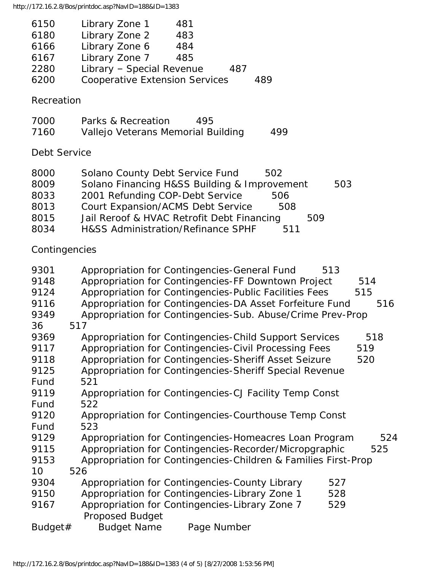http://172.16.2.8/Bos/printdoc.asp?NavID=188&ID=1383

| 6150 | Library Zone 1                        | 481 |     |     |
|------|---------------------------------------|-----|-----|-----|
| 6180 | Library Zone 2                        | 483 |     |     |
| 6166 | Library Zone 6                        | 484 |     |     |
| 6167 | Library Zone 7                        | 485 |     |     |
| 2280 | Library - Special Revenue             |     | 487 |     |
| 6200 | <b>Cooperative Extension Services</b> |     |     | 489 |

## Recreation

| 7000 | Parks & Recreation                 | 495 |     |
|------|------------------------------------|-----|-----|
| 7160 | Vallejo Veterans Memorial Building |     | 499 |

## Debt Service

| 8000 | Solano County Debt Service Fund<br>502            |     |
|------|---------------------------------------------------|-----|
| 8009 | Solano Financing H&SS Building & Improvement      | 503 |
| 8033 | 2001 Refunding COP-Debt Service<br>506            |     |
| 8013 | <b>Court Expansion/ACMS Debt Service</b><br>508   |     |
| 8015 | Jail Reroof & HVAC Retrofit Debt Financing<br>509 |     |
| 8034 | H&SS Administration/Refinance SPHF<br>511         |     |

## Contingencies

| 9301    | Appropriation for Contingencies-General Fund<br>513             |
|---------|-----------------------------------------------------------------|
| 9148    | Appropriation for Contingencies-FF Downtown Project<br>514      |
| 9124    | Appropriation for Contingencies-Public Facilities Fees<br>515   |
| 9116    | Appropriation for Contingencies-DA Asset Forfeiture Fund<br>516 |
| 9349    | Appropriation for Contingencies-Sub. Abuse/Crime Prev-Prop      |
| 36      | 517                                                             |
| 9369    | Appropriation for Contingencies-Child Support Services<br>518   |
| 9117    | Appropriation for Contingencies-Civil Processing Fees<br>519    |
| 9118    | Appropriation for Contingencies-Sheriff Asset Seizure<br>520    |
| 9125    | Appropriation for Contingencies-Sheriff Special Revenue         |
| Fund    | 521                                                             |
| 9119    | Appropriation for Contingencies-CJ Facility Temp Const          |
| Fund    | 522                                                             |
| 9120    | Appropriation for Contingencies-Courthouse Temp Const           |
| Fund    | 523                                                             |
| 9129    | Appropriation for Contingencies-Homeacres Loan Program<br>524   |
| 9115    | Appropriation for Contingencies-Recorder/Micropgraphic<br>525   |
| 9153    | Appropriation for Contingencies-Children & Families First-Prop  |
| 10      | 526                                                             |
| 9304    | Appropriation for Contingencies-County Library<br>527           |
| 9150    | Appropriation for Contingencies-Library Zone 1<br>528           |
| 9167    | Appropriation for Contingencies-Library Zone 7<br>529           |
|         | <b>Proposed Budget</b>                                          |
| Budget# | <b>Budget Name</b><br>Page Number                               |